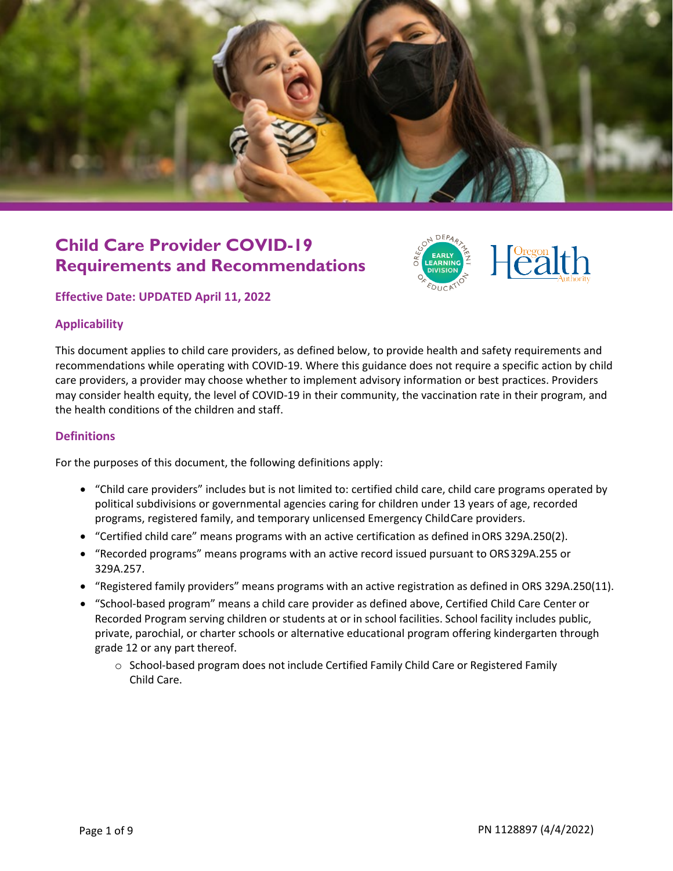

## **Child Care Provider COVID-19 Requirements and Recommendations**



#### **Effective Date: UPDATED April 11, 2022**

#### **Applicability**

This document applies to child care providers, as defined below, to provide health and safety requirements and recommendations while operating with COVID-19. Where this guidance does not require a specific action by child care providers, a provider may choose whether to implement advisory information or best practices. Providers may consider health equity, the level of COVID-19 in their community, the vaccination rate in their program, and the health conditions of the children and staff.

#### **Definitions**

For the purposes of this document, the following definitions apply:

- "Child care providers" includes but is not limited to: certified child care, child care programs operated by political subdivisions or governmental agencies caring for children under 13 years of age, recorded programs, registered family, and temporary unlicensed Emergency ChildCare providers.
- "Certified child care" means programs with an active certification as defined inORS 329A.250(2).
- "Recorded programs" means programs with an active record issued pursuant to ORS329A.255 or 329A.257.
- "Registered family providers" means programs with an active registration as defined in ORS 329A.250(11).
- "School-based program" means a child care provider as defined above, Certified Child Care Center or Recorded Program serving children or students at or in school facilities. School facility includes public, private, parochial, or charter schools or alternative educational program offering kindergarten through grade 12 or any part thereof.
	- o School-based program does not include Certified Family Child Care or Registered Family Child Care.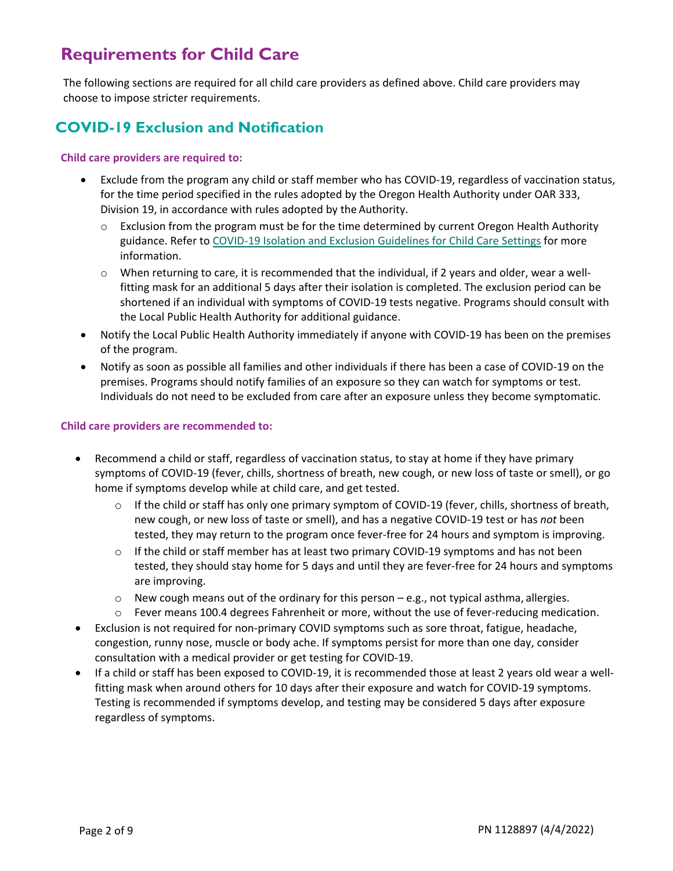## **Requirements for Child Care**

The following sections are required for all child care providers as defined above. Child care providers may choose to impose stricter requirements.

## **COVID-19 Exclusion and Notification**

#### **Child care providers are required to:**

- Exclude from the program any child or staff member who has COVID-19, regardless of vaccination status, for the time period specified in the rules adopted by the Oregon Health Authority under OAR 333, Division 19, in accordance with rules adopted by the Authority.
	- $\circ$  Exclusion from the program must be for the time determined by current Oregon Health Authority guidance. Refer t[o COVID-19 Isolation and Exclusion Guidelines for Child Care Settings](https://oregonearlylearning.com/wp-content/uploads/2022/03/le4145.pdf) for more information.
	- $\circ$  When returning to care, it is recommended that the individual, if 2 years and older, wear a wellfitting mask for an additional 5 days after their isolation is completed. The exclusion period can be shortened if an individual with symptoms of COVID-19 tests negative. Programs should consult with the Local Public Health Authority for additional guidance.
- Notify the Local Public Health Authority immediately if anyone with COVID-19 has been on the premises of the program.
- Notify as soon as possible all families and other individuals if there has been a case of COVID-19 on the premises. Programs should notify families of an exposure so they can watch for symptoms or test. Individuals do not need to be excluded from care after an exposure unless they become symptomatic.

#### **Child care providers are recommended to:**

- Recommend a child or staff, regardless of vaccination status, to stay at home if they have primary symptoms of COVID-19 (fever, chills, shortness of breath, new cough, or new loss of taste or smell), or go home if symptoms develop while at child care, and get tested.
	- $\circ$  If the child or staff has only one primary symptom of COVID-19 (fever, chills, shortness of breath, new cough, or new loss of taste or smell), and has a negative COVID-19 test or has *not* been tested, they may return to the program once fever-free for 24 hours and symptom is improving.
	- $\circ$  If the child or staff member has at least two primary COVID-19 symptoms and has not been tested, they should stay home for 5 days and until they are fever-free for 24 hours and symptoms are improving.
	- $\circ$  New cough means out of the ordinary for this person e.g., not typical asthma, allergies.
	- o Fever means 100.4 degrees Fahrenheit or more, without the use of fever-reducing medication.
- Exclusion is not required for non-primary COVID symptoms such as sore throat, fatigue, headache, congestion, runny nose, muscle or body ache. If symptoms persist for more than one day, consider consultation with a medical provider or get testing for COVID-19.
- If a child or staff has been exposed to COVID-19, it is recommended those at least 2 years old wear a wellfitting mask when around others for 10 days after their exposure and watch for COVID-19 symptoms. Testing is recommended if symptoms develop, and testing may be considered 5 days after exposure regardless of symptoms.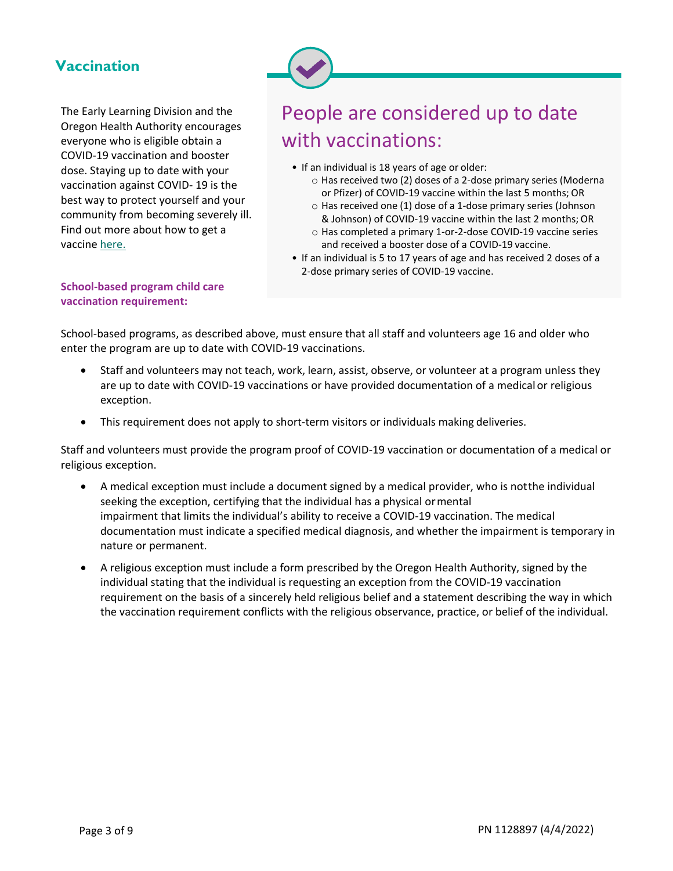#### **Vaccination**

The Early Learning Division and the Oregon Health Authority encourages everyone who is eligible obtain a COVID-19 vaccination and booster dose. Staying up to date with your vaccination against COVID- 19 is the best way to protect yourself and your community from becoming severely ill. Find out more about how to get a vaccine [here.](https://covidvaccine.oregon.gov/)

## People are considered up to date with vaccinations:

- If an individual is 18 years of age or older:
	- o Has received two (2) doses of a 2-dose primary series (Moderna or Pfizer) of COVID-19 vaccine within the last 5 months; OR
	- o Has received one (1) dose of a 1-dose primary series (Johnson & Johnson) of COVID-19 vaccine within the last 2 months; OR
	- o Has completed a primary 1-or-2-dose COVID-19 vaccine series and received a booster dose of a COVID-19 vaccine.
- If an individual is 5 to 17 years of age and has received 2 doses of a 2-dose primary series of COVID-19 vaccine.

#### **School-based program child care vaccination requirement:**

School-based programs, as described above, must ensure that all staff and volunteers age 16 and older who enter the program are up to date with COVID-19 vaccinations.

- Staff and volunteers may not teach, work, learn, assist, observe, or volunteer at a program unless they are up to date with COVID-19 vaccinations or have provided documentation of a medical or religious exception.
- This requirement does not apply to short-term visitors or individuals making deliveries.

Staff and volunteers must provide the program proof of COVID-19 vaccination or documentation of a medical or religious exception.

- A medical exception must include a document signed by a medical provider, who is notthe individual seeking the exception, certifying that the individual has a physical ormental impairment that limits the individual's ability to receive a COVID-19 vaccination. The medical documentation must indicate a specified medical diagnosis, and whether the impairment is temporary in nature or permanent.
- A religious exception must include a form prescribed by the Oregon Health Authority, signed by the individual stating that the individual is requesting an exception from the COVID-19 vaccination requirement on the basis of a sincerely held religious belief and a statement describing the way in which the vaccination requirement conflicts with the religious observance, practice, or belief of the individual.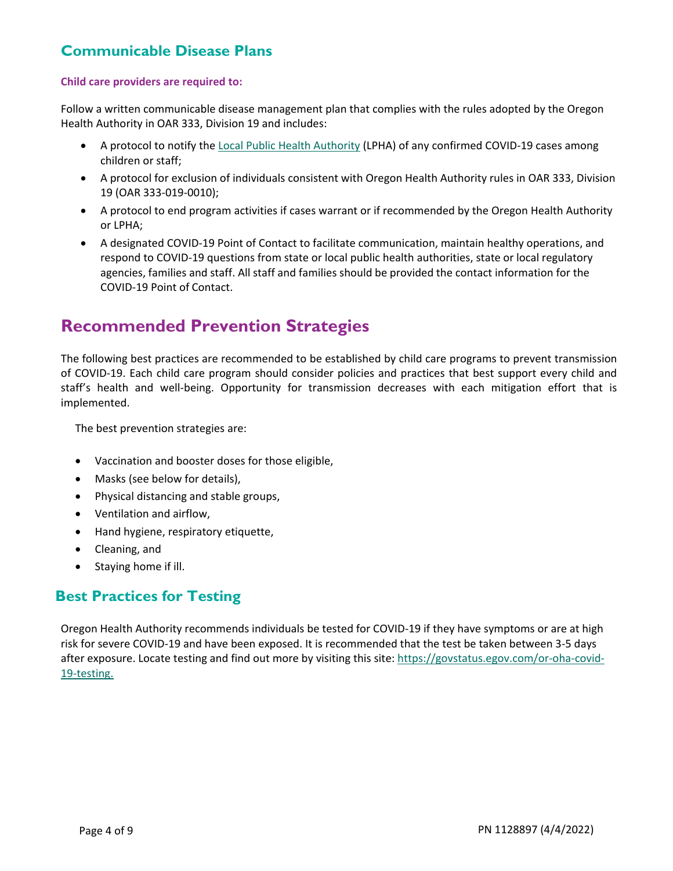#### **Communicable Disease Plans**

#### **Child care providers are required to:**

Follow a written communicable disease management plan that complies with the rules adopted by the Oregon Health Authority in OAR 333, Division 19 and includes:

- A protocol to notify the [Local Public Health Authority](http://healthoregon.org/lhddirectory) (LPHA) of any confirmed COVID-19 cases among children or staff;
- A protocol for exclusion of individuals consistent with Oregon Health Authority rules in OAR 333, Division 19 (OAR 333-019-0010);
- A protocol to end program activities if cases warrant or if recommended by the Oregon Health Authority or LPHA;
- A designated COVID-19 Point of Contact to facilitate communication, maintain healthy operations, and respond to COVID-19 questions from state or local public health authorities, state or local regulatory agencies, families and staff. All staff and families should be provided the contact information for the COVID-19 Point of Contact.

## **Recommended Prevention Strategies**

The following best practices are recommended to be established by child care programs to prevent transmission of COVID-19. Each child care program should consider policies and practices that best support every child and staff's health and well-being. Opportunity for transmission decreases with each mitigation effort that is implemented.

The best prevention strategies are:

- Vaccination and booster doses for those eligible,
- Masks (see below for details),
- Physical distancing and stable groups,
- Ventilation and airflow,
- Hand hygiene, respiratory etiquette,
- Cleaning, and
- Staying home if ill.

#### **Best Practices for Testing**

Oregon Health Authority recommends individuals be tested for COVID-19 if they have symptoms or are at high risk for severe COVID-19 and have been exposed. It is recommended that the test be taken between 3-5 days after exposure. Locate testing and find out more by visiting this site: [https://govstatus.egov.com/or-oha-covid-](https://govstatus.egov.com/or-oha-covid-19-testing)[19-testing.](https://govstatus.egov.com/or-oha-covid-19-testing)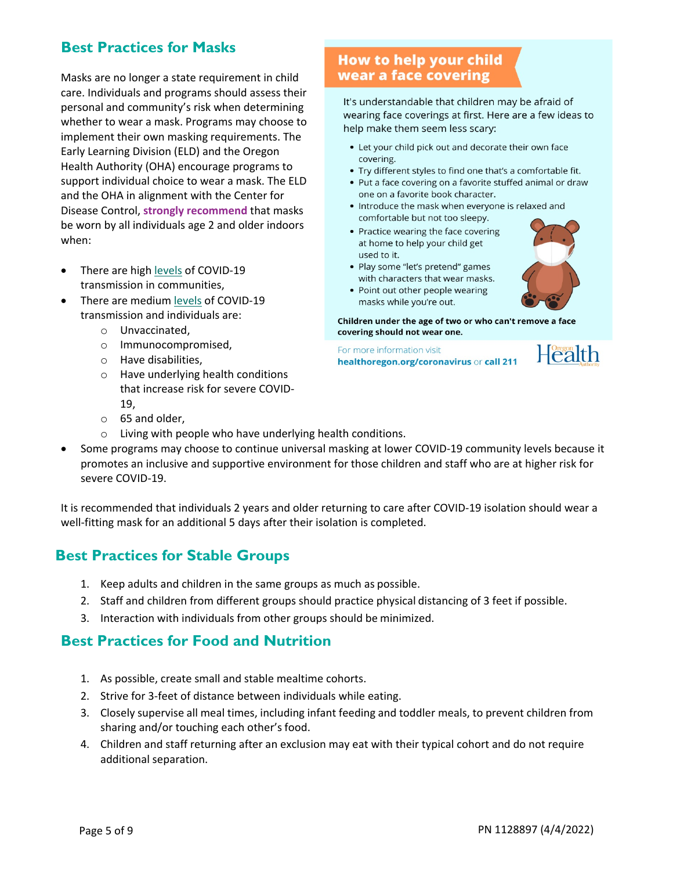## **Best Practices for Masks**

Masks are no longer a state requirement in child care. Individuals and programs should assess their personal and community's risk when determining whether to wear a mask. Programs may choose to implement their own masking requirements. The Early Learning Division (ELD) and the Oregon Health Authority (OHA) encourage programs to support individual choice to wear a mask. The ELD and the OHA in alignment with the Center for Disease Control, **strongly recommend** that masks be worn by all individuals age 2 and older indoors when:

- There are hig[h levels](https://www.cdc.gov/coronavirus/2019-ncov/your-health/covid-by-county.html) of COVID-19 transmission in communities,
- There are medium [levels](https://www.cdc.gov/coronavirus/2019-ncov/your-health/covid-by-county.html) of COVID-19 transmission and individuals are:
	- o Unvaccinated,
	- o Immunocompromised,
	- o Have disabilities,
	- o Have underlying health conditions that increase risk for severe COVID-19,
	- o 65 and older,
	- o Living with people who have underlying health conditions.
- Some programs may choose to continue universal masking at lower COVID-19 community levels because it promotes an inclusive and supportive environment for those children and staff who are at higher risk for severe COVID-19.

It is recommended that individuals 2 years and older returning to care after COVID-19 isolation should wear a well-fitting mask for an additional 5 days after their isolation is completed.

#### **Best Practices for Stable Groups**

- 1. Keep adults and children in the same groups as much as possible.
- 2. Staff and children from different groups should practice physical distancing of 3 feet if possible.
- 3. Interaction with individuals from other groups should be minimized.

#### **Best Practices for Food and Nutrition**

- 1. As possible, create small and stable mealtime cohorts.
- 2. Strive for 3-feet of distance between individuals while eating.
- 3. Closely supervise all meal times, including infant feeding and toddler meals, to prevent children from sharing and/or touching each other's food.
- 4. Children and staff returning after an exclusion may eat with their typical cohort and do not require additional separation.

#### How to help your child wear a face covering

It's understandable that children may be afraid of wearing face coverings at first. Here are a few ideas to help make them seem less scary:

- Let your child pick out and decorate their own face covering.
- Try different styles to find one that's a comfortable fit.
- Put a face covering on a favorite stuffed animal or draw one on a favorite book character.
- . Introduce the mask when everyone is relaxed and comfortable but not too sleepy.
- Practice wearing the face covering at home to help your child get used to it.
- Play some "let's pretend" games with characters that wear masks.
- 
- Point out other people wearing masks while you're out.

Children under the age of two or who can't remove a face covering should not wear one.

For more information visit healthoregon.org/coronavirus or call 211

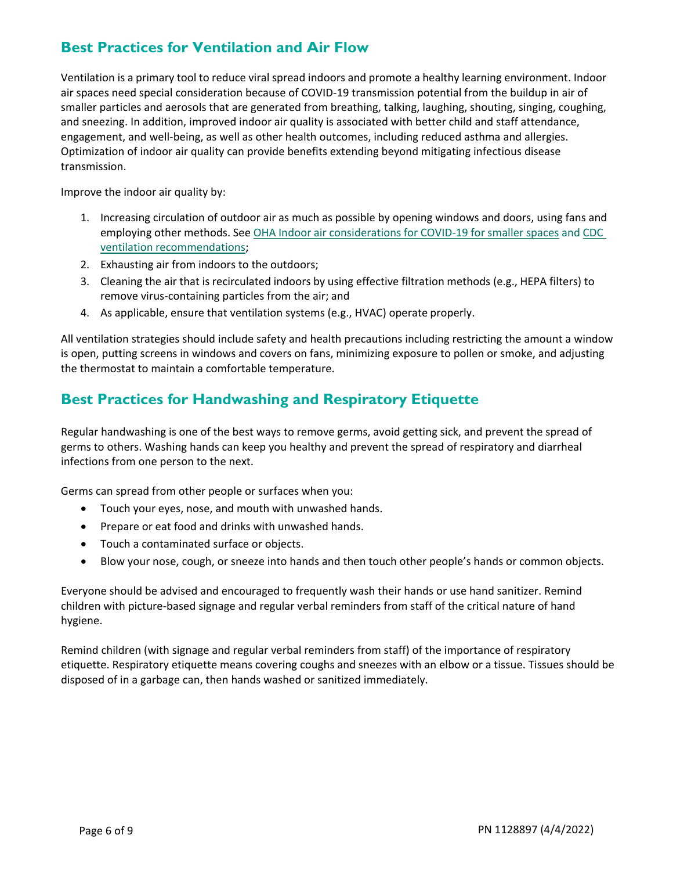## **Best Practices for Ventilation and Air Flow**

Ventilation is a primary tool to reduce viral spread indoors and promote a healthy learning environment. Indoor air spaces need special consideration because of COVID-19 transmission potential from the buildup in air of smaller particles and aerosols that are generated from breathing, talking, laughing, shouting, singing, coughing, and sneezing. In addition, improved indoor air quality is associated with better child and staff attendance, engagement, and well-being, as well as other health outcomes, including reduced asthma and allergies. Optimization of indoor air quality can provide benefits extending beyond mitigating infectious disease transmission.

Improve the indoor air quality by:

- 1. Increasing circulation of outdoor air as much as possible by opening windows and doors, using fans and employing other methods. See OHA [Indoor air considerations](https://sharedsystems.dhsoha.state.or.us/DHSForms/Served/le3725.pdf) for COVID-19 for smaller [spaces](https://sharedsystems.dhsoha.state.or.us/DHSForms/Served/le3725.pdf) and [CDC](https://www.cdc.gov/coronavirus/2019-ncov/community/ventilation.html)  [ventilation recommendations;](https://www.cdc.gov/coronavirus/2019-ncov/community/ventilation.html)
- 2. Exhausting air from indoors to the outdoors;
- 3. Cleaning the air that is recirculated indoors by using effective filtration methods (e.g., HEPA filters) to remove virus-containing particles from the air; and
- 4. As applicable, ensure that ventilation systems (e.g., HVAC) operate properly.

All ventilation strategies should include safety and health precautions including restricting the amount a window is open, putting screens in windows and covers on fans, minimizing exposure to pollen or smoke, and adjusting the thermostat to maintain a comfortable temperature.

#### **Best Practices for Handwashing and Respiratory Etiquette**

Regular handwashing is one of the best ways to remove germs, avoid getting sick, and prevent the spread of germs to others. Washing hands can keep you healthy and prevent the spread of respiratory and diarrheal infections from one person to the next.

Germs can spread from other people or surfaces when you:

- Touch your eyes, nose, and mouth with unwashed hands.
- Prepare or eat food and drinks with unwashed hands.
- Touch a contaminated surface or objects.
- Blow your nose, cough, or sneeze into hands and then touch other people's hands or common objects.

Everyone should be advised and encouraged to frequently wash their hands or use hand sanitizer. Remind children with picture-based signage and regular verbal reminders from staff of the critical nature of hand hygiene.

Remind children (with signage and regular verbal reminders from staff) of the importance of respiratory etiquette. Respiratory etiquette means covering coughs and sneezes with an elbow or a tissue. Tissues should be disposed of in a garbage can, then hands washed or sanitized immediately.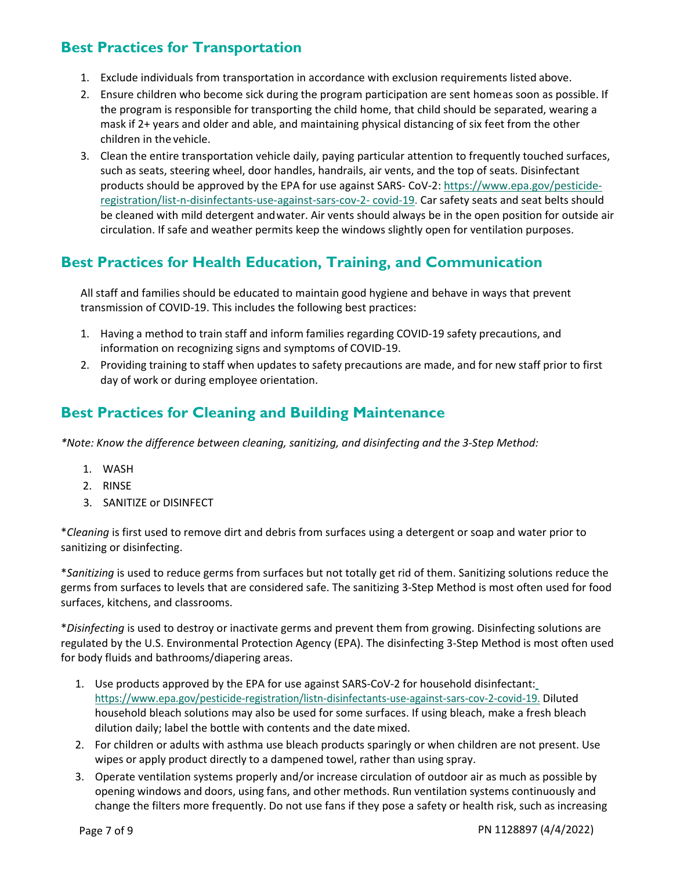## **Best Practices for Transportation**

- 1. Exclude individuals from transportation in accordance with exclusion requirements listed above.
- 2. Ensure children who become sick during the program participation are sent homeas soon as possible. If the program is responsible for transporting the child home, that child should be separated, wearing a mask if 2+ years and older and able, and maintaining physical distancing of six feet from the other children in the vehicle.
- 3. Clean the entire transportation vehicle daily, paying particular attention to frequently touched surfaces, such as seats, steering wheel, door handles, handrails, air vents, and the top of seats. Disinfectant products should be approved by the EPA for use against SARS- CoV-2: [https://www.epa.gov/pesticide](https://www.epa.gov/pesticide-registration/list-n-disinfectants-use-against-sars-cov-2-covid-19)[registration/list-n-disinfectants-use-against-sars-cov-2-](https://www.epa.gov/pesticide-registration/list-n-disinfectants-use-against-sars-cov-2-covid-19) [covid-19. C](https://www.epa.gov/pesticide-registration/list-n-disinfectants-use-against-sars-cov-2-covid-19)ar safety seats and seat belts should be cleaned with mild detergent andwater. Air vents should always be in the open position for outside air circulation. If safe and weather permits keep the windows slightly open for ventilation purposes.

#### **Best Practices for Health Education, Training, and Communication**

All staff and families should be educated to maintain good hygiene and behave in ways that prevent transmission of COVID-19. This includes the following best practices:

- 1. Having a method to train staff and inform families regarding COVID-19 safety precautions, and information on recognizing signs and symptoms of COVID-19.
- 2. Providing training to staff when updates to safety precautions are made, and for new staff prior to first day of work or during employee orientation.

#### **Best Practices for Cleaning and Building Maintenance**

*\*Note: Know the difference between cleaning, sanitizing, and disinfecting and the 3-Step Method:*

- 1. WASH
- 2. RINSE
- 3. SANITIZE or DISINFECT

\**Cleaning* is first used to remove dirt and debris from surfaces using a detergent or soap and water prior to sanitizing or disinfecting.

\**Sanitizing* is used to reduce germs from surfaces but not totally get rid of them. Sanitizing solutions reduce the germs from surfaces to levels that are considered safe. The sanitizing 3-Step Method is most often used for food surfaces, kitchens, and classrooms.

\**Disinfecting* is used to destroy or inactivate germs and prevent them from growing. Disinfecting solutions are regulated by the U.S. Environmental Protection Agency (EPA). The disinfecting 3-Step Method is most often used for body fluids and bathrooms/diapering areas.

- 1. Use products approved by the EPA for use against SARS-CoV-2 for household disinfectant: [https://www.epa.gov/pesticide-registration/listn-disinfectants-use-against-sars-cov-2-covid-19.](https://www.epa.gov/pesticide-registration/listn-disinfectants-use-against-sars-cov-2-covid-19) Diluted household bleach solutions may also be used for some surfaces. If using bleach, make a fresh bleach dilution daily; label the bottle with contents and the date mixed.
- 2. For children or adults with asthma use bleach products sparingly or when children are not present. Use wipes or apply product directly to a dampened towel, rather than using spray.
- 3. Operate ventilation systems properly and/or increase circulation of outdoor air as much as possible by opening windows and doors, using fans, and other methods. Run ventilation systems continuously and change the filters more frequently. Do not use fans if they pose a safety or health risk, such as increasing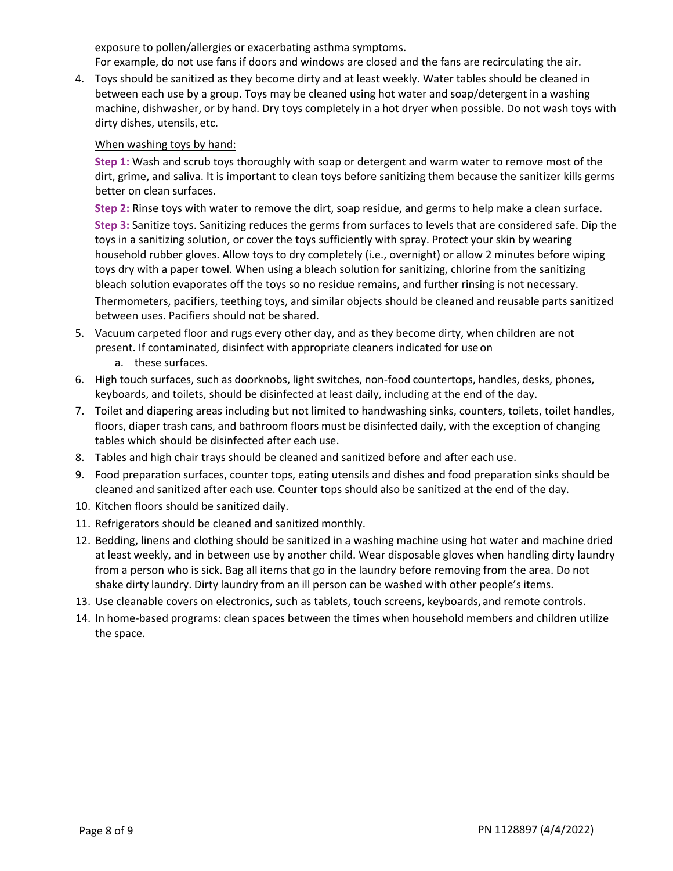exposure to pollen/allergies or exacerbating asthma symptoms.

For example, do not use fans if doors and windows are closed and the fans are recirculating the air.

4. Toys should be sanitized as they become dirty and at least weekly. Water tables should be cleaned in between each use by a group. Toys may be cleaned using hot water and soap/detergent in a washing machine, dishwasher, or by hand. Dry toys completely in a hot dryer when possible. Do not wash toys with dirty dishes, utensils, etc.

#### When washing toys by hand:

**Step 1:** Wash and scrub toys thoroughly with soap or detergent and warm water to remove most of the dirt, grime, and saliva. It is important to clean toys before sanitizing them because the sanitizer kills germs better on clean surfaces.

**Step 2:** Rinse toys with water to remove the dirt, soap residue, and germs to help make a clean surface.

**Step 3:** Sanitize toys. Sanitizing reduces the germs from surfaces to levels that are considered safe. Dip the toys in a sanitizing solution, or cover the toys sufficiently with spray. Protect your skin by wearing household rubber gloves. Allow toys to dry completely (i.e., overnight) or allow 2 minutes before wiping toys dry with a paper towel. When using a bleach solution for sanitizing, chlorine from the sanitizing bleach solution evaporates off the toys so no residue remains, and further rinsing is not necessary.

Thermometers, pacifiers, teething toys, and similar objects should be cleaned and reusable parts sanitized between uses. Pacifiers should not be shared.

- 5. Vacuum carpeted floor and rugs every other day, and as they become dirty, when children are not present. If contaminated, disinfect with appropriate cleaners indicated for useon a. these surfaces.
- 6. High touch surfaces, such as doorknobs, light switches, non-food countertops, handles, desks, phones, keyboards, and toilets, should be disinfected at least daily, including at the end of the day.
- 7. Toilet and diapering areas including but not limited to handwashing sinks, counters, toilets, toilet handles, floors, diaper trash cans, and bathroom floors must be disinfected daily, with the exception of changing tables which should be disinfected after each use.
- 8. Tables and high chair trays should be cleaned and sanitized before and after each use.
- 9. Food preparation surfaces, counter tops, eating utensils and dishes and food preparation sinks should be cleaned and sanitized after each use. Counter tops should also be sanitized at the end of the day.
- 10. Kitchen floors should be sanitized daily.
- 11. Refrigerators should be cleaned and sanitized monthly.
- 12. Bedding, linens and clothing should be sanitized in a washing machine using hot water and machine dried at least weekly, and in between use by another child. Wear disposable gloves when handling dirty laundry from a person who is sick. Bag all items that go in the laundry before removing from the area. Do not shake dirty laundry. Dirty laundry from an ill person can be washed with other people's items.
- 13. Use cleanable covers on electronics, such as tablets, touch screens, keyboards, and remote controls.
- 14. In home-based programs: clean spaces between the times when household members and children utilize the space.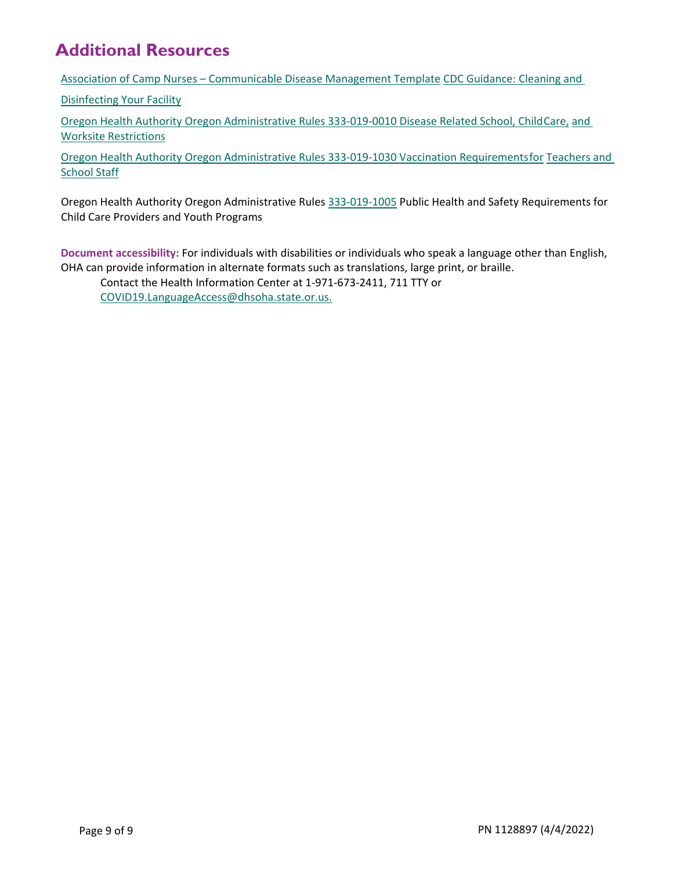## **Additional Resources**

Association of Camp Nurses – [Communicable Disease Management Template](https://campnurse.org/2020/04/17/template-communicable-disease-plan/) [CDC Guidance: Cleaning and](https://www.cdc.gov/coronavirus/2019-ncov/community/disinfecting-building-facility.html#anchor_1617548426741) 

[Disinfecting Your Facility](https://www.cdc.gov/coronavirus/2019-ncov/community/disinfecting-building-facility.html#anchor_1617548426741)

[Oregon Health Authority Oregon Administrative Rules 333-019-0010 Disease Related School, ChildCare,](https://secure.sos.state.or.us/oard/displayDivisionRules.action%3BJSESSIONID_OARD%3DCWtU-vUIexhvC_LVkAXJTp95C809_-PdBnPG-STCfrgehxEX_1QC!-1024219277?selectedDivision=1234) [and](https://secure.sos.state.or.us/oard/displayDivisionRules.action%3BJSESSIONID_OARD%3DCWtU-vUIexhvC_LVkAXJTp95C809_-PdBnPG-STCfrgehxEX_1QC!-1024219277?selectedDivision=1234)  Worksite [Restrictions](https://secure.sos.state.or.us/oard/displayDivisionRules.action%3BJSESSIONID_OARD%3DCWtU-vUIexhvC_LVkAXJTp95C809_-PdBnPG-STCfrgehxEX_1QC!-1024219277?selectedDivision=1234)

[Oregon Health Authority Oregon Administrative Rules 333-019-1030 Vaccination Requirementsfor](https://secure.sos.state.or.us/oard/viewSingleRule.action?ruleVrsnRsn=280616) [Teachers and](https://secure.sos.state.or.us/oard/viewSingleRule.action?ruleVrsnRsn=280616)  [School](https://secure.sos.state.or.us/oard/viewSingleRule.action?ruleVrsnRsn=280616) Staff

Oregon Health Authority Oregon Administrative Rule[s 333-019-1005](https://secure.sos.state.or.us/oard/viewSingleRule.action?ruleVrsnRsn=287269) Public Health and Safety Requirements for Child Care Providers and Youth Programs

**Document accessibility:** For individuals with disabilities or individuals who speak a language other than English, OHA can provide information in alternate formats such as translations, large print, or braille.

Contact the Health Information Center at 1-971-673-2411, 711 TTY or [COVID19.LanguageAccess@dhsoha.state.or.us.](mailto:COVID19.LanguageAccess@dhsoha.state.or.us)